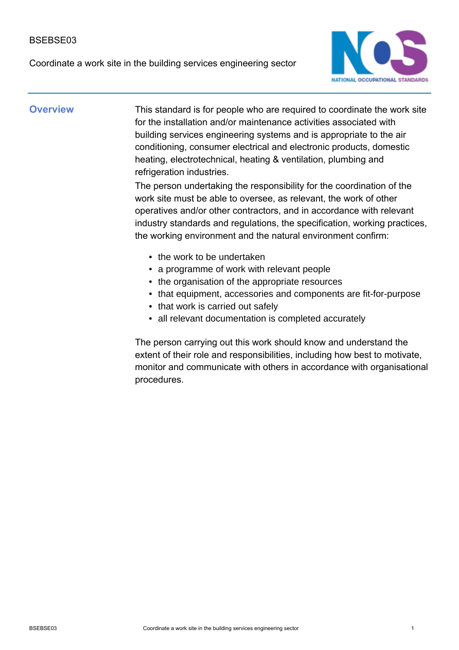Coordinate a work site in the building services engineering sector



**Overview** This standard is for people who are required to coordinate the work site for the installation and/or maintenance activities associated with building services engineering systems and is appropriate to the air conditioning, consumer electrical and electronic products, domestic heating, electrotechnical, heating & ventilation, plumbing and refrigeration industries.

> The person undertaking the responsibility for the coordination of the work site must be able to oversee, as relevant, the work of other operatives and/or other contractors, and in accordance with relevant industry standards and regulations, the specification, working practices, the working environment and the natural environment confirm:

- the work to be undertaken
- a programme of work with relevant people
- the organisation of the appropriate resources
- that equipment, accessories and components are fit-for-purpose
- that work is carried out safely
- all relevant documentation is completed accurately

The person carrying out this work should know and understand the extent of their role and responsibilities, including how best to motivate, monitor and communicate with others in accordance with organisational procedures.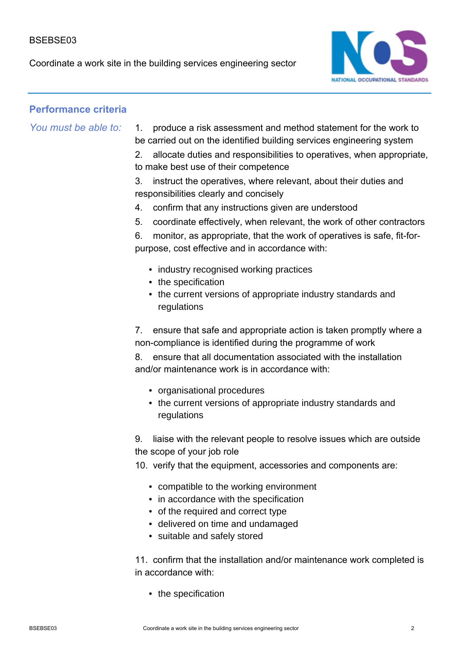Coordinate a work site in the building services engineering sector



# **Performance criteria**

# *You must be able to:*

- 1. produce a risk assessment and method statement for the work to be carried out on the identified building services engineering system
- 2. allocate duties and responsibilities to operatives, when appropriate, to make best use of their competence
- 3. instruct the operatives, where relevant, about their duties and responsibilities clearly and concisely
- 4. confirm that any instructions given are understood
- 5. coordinate effectively, when relevant, the work of other contractors

6. monitor, as appropriate, that the work of operatives is safe, fit-forpurpose, cost effective and in accordance with:

- industry recognised working practices
- the specification
- the current versions of appropriate industry standards and regulations

7. ensure that safe and appropriate action is taken promptly where a non-compliance is identified during the programme of work

8. ensure that all documentation associated with the installation and/or maintenance work is in accordance with:

- organisational procedures
- the current versions of appropriate industry standards and regulations

9. liaise with the relevant people to resolve issues which are outside the scope of your job role

10. verify that the equipment, accessories and components are:

- compatible to the working environment
- in accordance with the specification
- of the required and correct type
- delivered on time and undamaged
- suitable and safely stored

11. confirm that the installation and/or maintenance work completed is in accordance with:

• the specification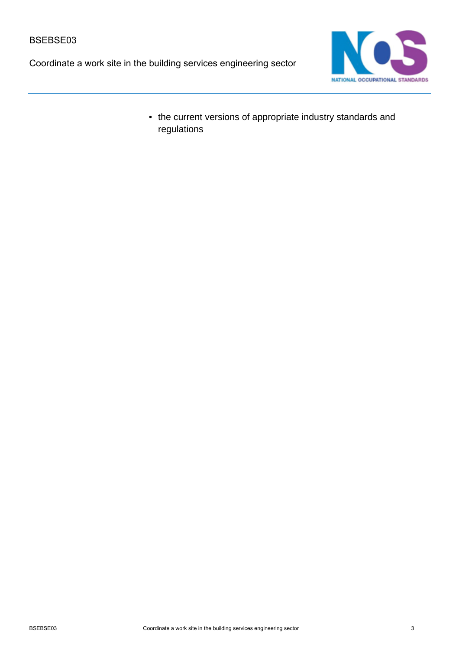Coordinate a work site in the building services engineering sector



• the current versions of appropriate industry standards and regulations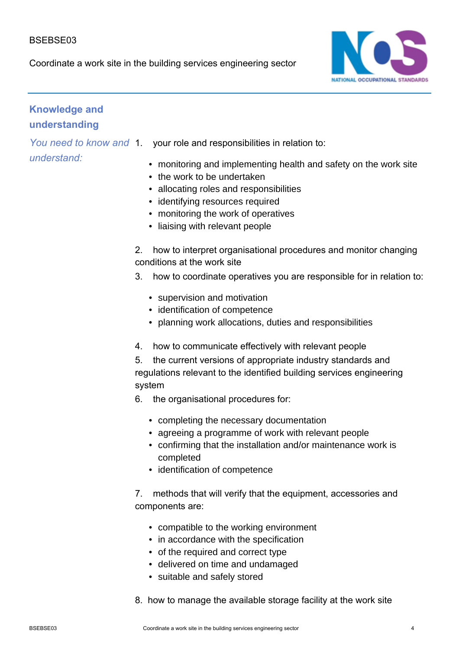Coordinate a work site in the building services engineering sector



# **Knowledge and understanding**

You need to know and 1. your role and responsibilities in relation to:

*understand:*

- monitoring and implementing health and safety on the work site
- the work to be undertaken
- allocating roles and responsibilities
- identifying resources required
- monitoring the work of operatives
- liaising with relevant people
- 2. how to interpret organisational procedures and monitor changing conditions at the work site
- 3. how to coordinate operatives you are responsible for in relation to:
	- supervision and motivation
	- identification of competence
	- planning work allocations, duties and responsibilities
- 4. how to communicate effectively with relevant people
- 5. the current versions of appropriate industry standards and regulations relevant to the identified building services engineering system
- 6. the organisational procedures for:
	- completing the necessary documentation
	- agreeing a programme of work with relevant people
	- confirming that the installation and/or maintenance work is completed
	- identification of competence

7. methods that will verify that the equipment, accessories and components are:

- compatible to the working environment
- in accordance with the specification
- of the required and correct type
- delivered on time and undamaged
- suitable and safely stored
- 8. how to manage the available storage facility at the work site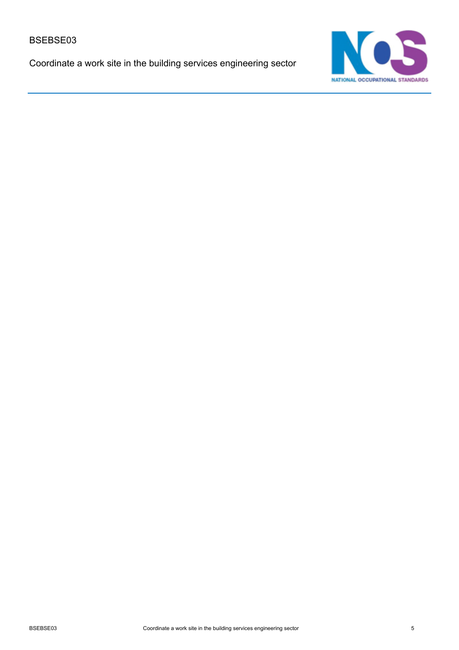Coordinate a work site in the building services engineering sector

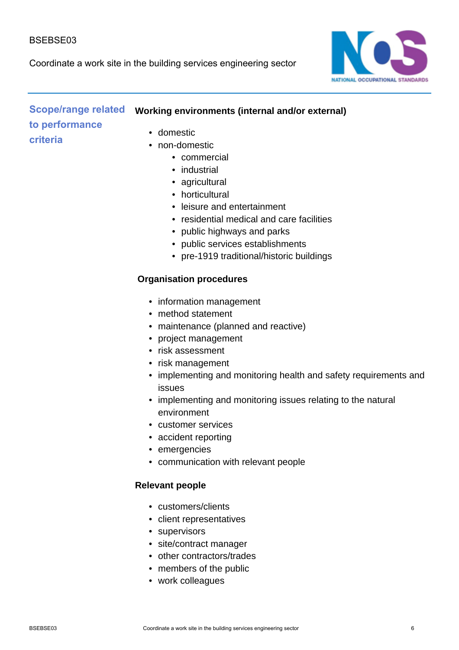Coordinate a work site in the building services engineering sector



# **Scope/range related to performance criteria**

# **Working environments (internal and/or external)**

- domestic
- non-domestic
	- commercial
	- industrial
	- agricultural
	- horticultural
	- leisure and entertainment
	- residential medical and care facilities
	- public highways and parks
	- public services establishments
	- pre-1919 traditional/historic buildings

## **Organisation procedures**

- information management
- method statement
- maintenance (planned and reactive)
- project management
- risk assessment
- risk management
- implementing and monitoring health and safety requirements and issues
- implementing and monitoring issues relating to the natural environment
- customer services
- accident reporting
- emergencies
- communication with relevant people

#### **Relevant people**

- customers/clients
- client representatives
- supervisors
- site/contract manager
- other contractors/trades
- members of the public
- work colleagues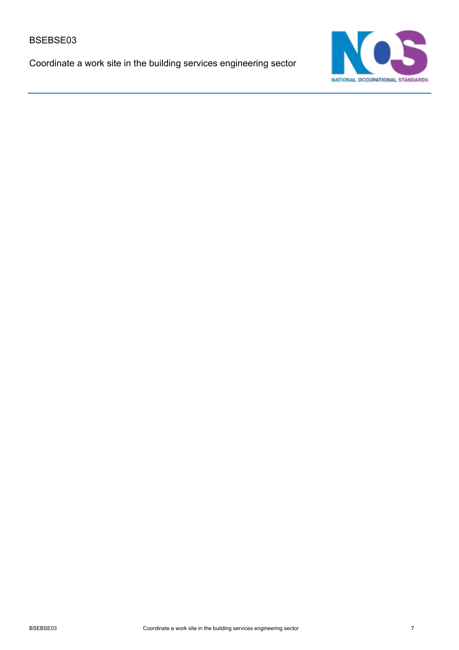Coordinate a work site in the building services engineering sector

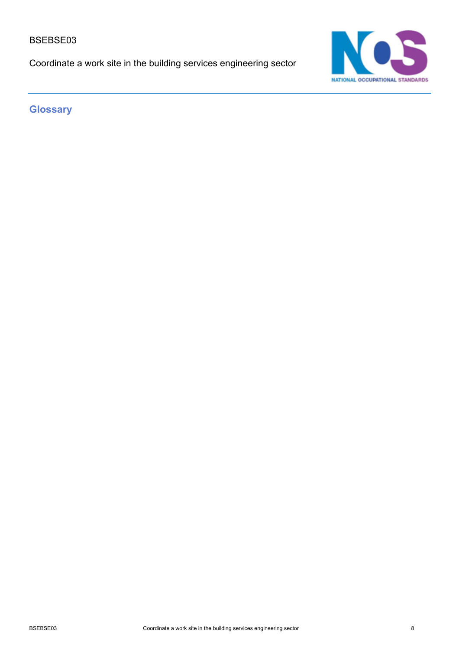Coordinate a work site in the building services engineering sector



**Glossary**